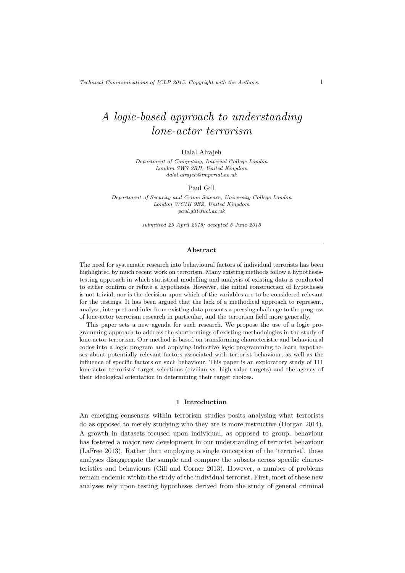# A logic-based approach to understanding lone-actor terrorism

### Dalal Alrajeh

Department of Computing, Imperial College London London SW7 2RH, United Kingdom dalal.alrajeh@imperial.ac.uk

#### Paul Gill

Department of Security and Crime Science, University College London London WC1H 9EZ, United Kingdom paul.gill@ucl.ac.uk

submitted 29 April 2015; accepted 5 June 2015

#### Abstract

The need for systematic research into behavioural factors of individual terrorists has been highlighted by much recent work on terrorism. Many existing methods follow a hypothesistesting approach in which statistical modelling and analysis of existing data is conducted to either confirm or refute a hypothesis. However, the initial construction of hypotheses is not trivial, nor is the decision upon which of the variables are to be considered relevant for the testings. It has been argued that the lack of a methodical approach to represent, analyse, interpret and infer from existing data presents a pressing challenge to the progress of lone-actor terrorism research in particular, and the terrorism field more generally.

This paper sets a new agenda for such research. We propose the use of a logic programming approach to address the shortcomings of existing methodologies in the study of lone-actor terrorism. Our method is based on transforming characteristic and behavioural codes into a logic program and applying inductive logic programming to learn hypotheses about potentially relevant factors associated with terrorist behaviour, as well as the influence of specific factors on such behaviour. This paper is an exploratory study of 111 lone-actor terrorists' target selections (civilian vs. high-value targets) and the agency of their ideological orientation in determining their target choices.

#### 1 Introduction

An emerging consensus within terrorism studies posits analysing what terrorists do as opposed to merely studying who they are is more instructive (Horgan 2014). A growth in datasets focused upon individual, as opposed to group, behaviour has fostered a major new development in our understanding of terrorist behaviour (LaFree 2013). Rather than employing a single conception of the 'terrorist', these analyses disaggregate the sample and compare the subsets across specific characteristics and behaviours (Gill and Corner 2013). However, a number of problems remain endemic within the study of the individual terrorist. First, most of these new analyses rely upon testing hypotheses derived from the study of general criminal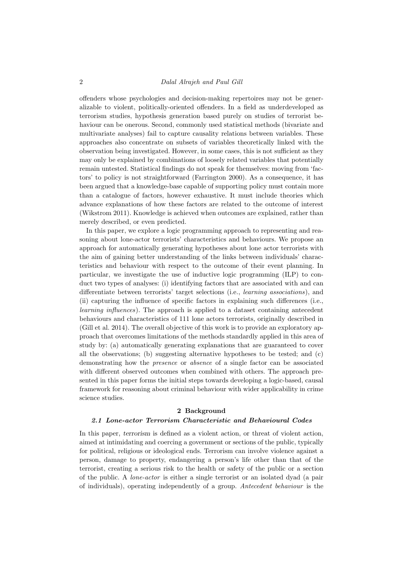offenders whose psychologies and decision-making repertoires may not be generalizable to violent, politically-oriented offenders. In a field as underdeveloped as terrorism studies, hypothesis generation based purely on studies of terrorist behaviour can be onerous. Second, commonly used statistical methods (bivariate and multivariate analyses) fail to capture causality relations between variables. These approaches also concentrate on subsets of variables theoretically linked with the observation being investigated. However, in some cases, this is not sufficient as they may only be explained by combinations of loosely related variables that potentially remain untested. Statistical findings do not speak for themselves: moving from 'factors' to policy is not straightforward (Farrington 2000). As a consequence, it has been argued that a knowledge-base capable of supporting policy must contain more than a catalogue of factors, however exhaustive. It must include theories which advance explanations of how these factors are related to the outcome of interest (Wikstrom 2011). Knowledge is achieved when outcomes are explained, rather than merely described, or even predicted.

In this paper, we explore a logic programming approach to representing and reasoning about lone-actor terrorists' characteristics and behaviours. We propose an approach for automatically generating hypotheses about lone actor terrorists with the aim of gaining better understanding of the links between individuals' characteristics and behaviour with respect to the outcome of their event planning. In particular, we investigate the use of inductive logic programming (ILP) to conduct two types of analyses: (i) identifying factors that are associated with and can differentiate between terrorists' target selections (i.e., learning associations), and (ii) capturing the influence of specific factors in explaining such differences (i.e., learning influences). The approach is applied to a dataset containing antecedent behaviours and characteristics of 111 lone actors terrorists, originally described in (Gill et al. 2014). The overall objective of this work is to provide an exploratory approach that overcomes limitations of the methods standardly applied in this area of study by: (a) automatically generating explanations that are guaranteed to cover all the observations; (b) suggesting alternative hypotheses to be tested; and (c) demonstrating how the presence or absence of a single factor can be associated with different observed outcomes when combined with others. The approach presented in this paper forms the initial steps towards developing a logic-based, causal framework for reasoning about criminal behaviour with wider applicability in crime science studies.

## 2 Background

## 2.1 Lone-actor Terrorism Characteristic and Behavioural Codes

In this paper, terrorism is defined as a violent action, or threat of violent action, aimed at intimidating and coercing a government or sections of the public, typically for political, religious or ideological ends. Terrorism can involve violence against a person, damage to property, endangering a person's life other than that of the terrorist, creating a serious risk to the health or safety of the public or a section of the public. A lone-actor is either a single terrorist or an isolated dyad (a pair of individuals), operating independently of a group. Antecedent behaviour is the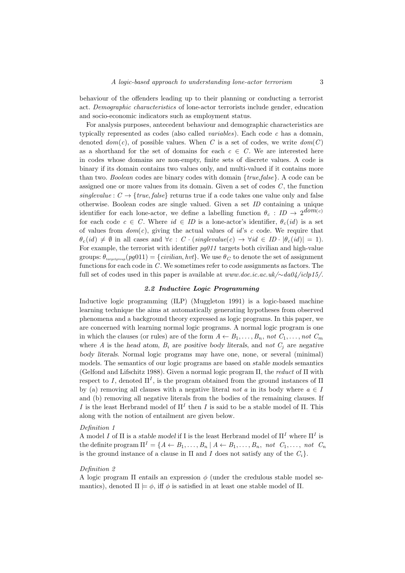behaviour of the offenders leading up to their planning or conducting a terrorist act. Demographic characteristics of lone-actor terrorists include gender, education and socio-economic indicators such as employment status.

For analysis purposes, antecedent behaviour and demographic characteristics are typically represented as codes (also called *variables*). Each code  $c$  has a domain, denoted  $dom(c)$ , of possible values. When C is a set of codes, we write  $dom(C)$ as a shorthand for the set of domains for each  $c \in C$ . We are interested here in codes whose domains are non-empty, finite sets of discrete values. A code is binary if its domain contains two values only, and multi-valued if it contains more than two. Boolean codes are binary codes with domain  $\{true, false\}$ . A code can be assigned one or more values from its domain. Given a set of codes  $C$ , the function singlevalue :  $C \rightarrow \{true, false\}$  returns true if a code takes one value only and false otherwise. Boolean codes are single valued. Given a set ID containing a unique identifier for each lone-actor, we define a labelling function  $\theta_c : ID \rightarrow 2^{dom(c)}$ for each code  $c \in C$ . Where  $id \in ID$  is a lone-actor's identifier,  $\theta_c(id)$  is a set of values from  $dom(c)$ , giving the actual values of id's c code. We require that  $\theta_c(id) \neq \emptyset$  in all cases and  $\forall c : C \cdot (single value(c) \rightarrow \forall id \in ID \cdot |\theta_c(id)| = 1).$ For example, the terrorist with identifier  $pg011$  targets both civilian and high-value groups:  $\theta_{taretemp}$   $(pq011) = \{civilian, hvt\}$ . We use  $\theta_C$  to denote the set of assignment functions for each code in  $C$ . We sometimes refer to code assignments as factors. The full set of codes used in this paper is available at www.doc.ic.ac.uk/ $\sim da04/iclp15/$ .

## 2.2 Inductive Logic Programming

Inductive logic programming (ILP) (Muggleton 1991) is a logic-based machine learning technique the aims at automatically generating hypotheses from observed phenomena and a background theory expressed as logic programs. In this paper, we are concerned with learning normal logic programs. A normal logic program is one in which the clauses (or rules) are of the form  $A \leftarrow B_1, \ldots, B_n$ , not  $C_1, \ldots, not C_m$ where A is the head atom,  $B_i$  are positive body literals, and not  $C_j$  are negative body literals. Normal logic programs may have one, none, or several (minimal) models. The semantics of our logic programs are based on stable models semantics (Gelfond and Lifschitz 1988). Given a normal logic program  $\Pi$ , the *reduct* of  $\Pi$  with respect to I, denoted  $\Pi^I$ , is the program obtained from the ground instances of  $\Pi$ by (a) removing all clauses with a negative literal not a in its body where  $a \in I$ and (b) removing all negative literals from the bodies of the remaining clauses. If I is the least Herbrand model of  $\Pi^I$  then I is said to be a stable model of  $\Pi$ . This along with the notion of entailment are given below.

#### Definition 1

A model I of  $\Pi$  is a stable model if I is the least Herbrand model of  $\Pi^I$  where  $\Pi^I$  is the definite program  $\Pi^I = \{A \leftarrow B_1, \ldots, B_n | A \leftarrow B_1, \ldots, B_n, \text{not } C_1, \ldots, \text{not } C_n\}$ is the ground instance of a clause in  $\Pi$  and  $I$  does not satisfy any of the  $C_i$ .

#### Definition 2

A logic program  $\Pi$  entails an expression  $\phi$  (under the credulous stable model semantics), denoted  $\Pi \models \phi$ , iff  $\phi$  is satisfied in at least one stable model of  $\Pi$ .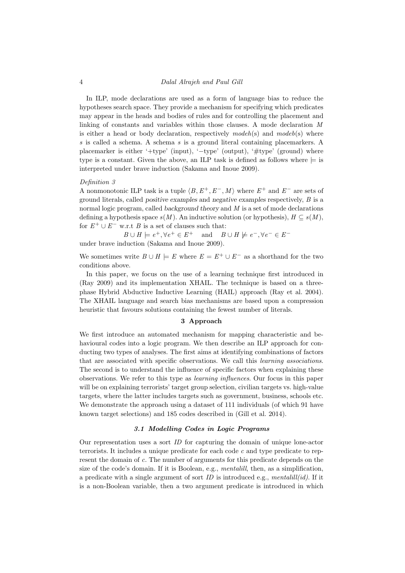In ILP, mode declarations are used as a form of language bias to reduce the hypotheses search space. They provide a mechanism for specifying which predicates may appear in the heads and bodies of rules and for controlling the placement and linking of constants and variables within those clauses. A mode declaration M is either a head or body declaration, respectively  $model(s)$  and  $model(s)$  where s is called a schema. A schema s is a ground literal containing placemarkers. A placemarker is either '+type' (input), '−type' (output), '#type' (ground) where type is a constant. Given the above, an ILP task is defined as follows where  $\models$  is interpreted under brave induction (Sakama and Inoue 2009).

#### Definition 3

A nonmonotonic ILP task is a tuple  $\langle B, E^+, E^-, M \rangle$  where  $E^+$  and  $E^-$  are sets of ground literals, called positive examples and negative examples respectively, B is a normal logic program, called background theory and M is a set of mode declarations defining a hypothesis space  $s(M)$ . An inductive solution (or hypothesis),  $H \subseteq s(M)$ , for  $E^+ \cup E^-$  w.r.t B is a set of clauses such that:

 $B \cup H \models e^+, \forall e^+ \in E^+ \quad \text{and} \quad B \cup H \not\models e^-, \forall e^- \in E^$ under brave induction (Sakama and Inoue 2009).

We sometimes write  $B \cup H \models E$  where  $E = E^+ \cup E^-$  as a shorthand for the two conditions above.

In this paper, we focus on the use of a learning technique first introduced in (Ray 2009) and its implementation XHAIL. The technique is based on a threephase Hybrid Abductive Inductive Learning (HAIL) approach (Ray et al. 2004). The XHAIL language and search bias mechanisms are based upon a compression heuristic that favours solutions containing the fewest number of literals.

## 3 Approach

We first introduce an automated mechanism for mapping characteristic and behavioural codes into a logic program. We then describe an ILP approach for conducting two types of analyses. The first aims at identifying combinations of factors that are associated with specific observations. We call this learning associations. The second is to understand the influence of specific factors when explaining these observations. We refer to this type as learning influences. Our focus in this paper will be on explaining terrorists' target group selection, civilian targets vs. high-value targets, where the latter includes targets such as government, business, schools etc. We demonstrate the approach using a dataset of 111 individuals (of which 91 have known target selections) and 185 codes described in (Gill et al. 2014).

## 3.1 Modelling Codes in Logic Programs

Our representation uses a sort ID for capturing the domain of unique lone-actor terrorists. It includes a unique predicate for each code  $c$  and type predicate to represent the domain of c. The number of arguments for this predicate depends on the size of the code's domain. If it is Boolean, e.g., mentalill, then, as a simplification, a predicate with a single argument of sort ID is introduced e.g., mentalill(id). If it is a non-Boolean variable, then a two argument predicate is introduced in which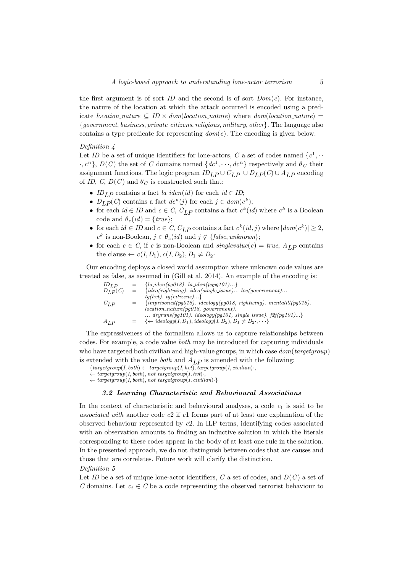the first argument is of sort ID and the second is of sort  $Dom(c)$ . For instance, the nature of the location at which the attack occurred is encoded using a predicate location\_nature  $\subseteq$  ID  $\times$  dom(location\_nature) where dom(location\_nature) = {government, business, private citizens, religious, military, other}. The language also contains a type predicate for representing  $dom(c)$ . The encoding is given below.

## Definition 4

Let ID be a set of unique identifiers for lone-actors, C a set of codes named  $\{c^1, \cdots\}$  $\{c, c^n\}$ ,  $D(C)$  the set of C domains named  $\{dc^1, \dots, dc^n\}$  respectively and  $\theta_C$  their assignment functions. The logic program  $ID_{LP} \cup C_{LP} \cup D_{LP}(C) \cup A_{LP}$  encoding of ID, C,  $D(C)$  and  $\theta_C$  is constructed such that:

- ID<sub>LP</sub> contains a fact la\_iden(id) for each id  $\in$  ID;
- $D_{LP}(C)$  contains a fact  $dc^k(j)$  for each  $j \in dom(c^k);$
- for each  $id \in ID$  and  $c \in C$ ,  $C_{LP}$  contains a fact  $c^k(id)$  where  $c^k$  is a Boolean code and  $\theta_c(id) = \{true\};$
- for each  $id \in ID$  and  $c \in C$ ,  $C_{LP}$  contains a fact  $c^k(id, j)$  where  $|dom(c^k)| \geq 2$ ,  $c^k$  is non-Boolean,  $j \in \theta_c(id)$  and  $j \notin \{false, unknown\};$
- for each  $c \in C$ , if c is non-Boolean and singlevalue(c) = true,  $A_{LP}$  contains the clause  $\leftarrow c(I, D_1), c(I, D_2), D_1 \neq D_2$ .

Our encoding deploys a closed world assumption where unknown code values are treated as false, as assumed in (Gill et al. 2014). An example of the encoding is:

| $ID_{LP}$    |     | ${la_iden(pq018). \; la_iden(pqpq101)}$                                                |
|--------------|-----|----------------------------------------------------------------------------------------|
| $D_{L,P}(C)$ | $=$ | $\{ideo(rightwing) \text{. } ideo(single\_issue) \text{ } loc(government) \text{}$     |
|              |     | $tg(hvt)$ . $tg(citizens)$ }                                                           |
| $C_{L,P}$    |     | ${imprisoned(pg018)}$ . ideology(pg018, rightwing). mentalill(pg018).                  |
|              |     | $location\_nature(pg018, government).$                                                 |
|              |     | $dryruns(pg101)$ . $ideology(pg101, single\_issue)$ . $f2f(pg101)$                     |
| $A_{LP}$     |     | $\{\leftarrow\text{ideology}(I, D_1), \text{ideology}(I, D_2), D_1 \neq D_2, \cdots\}$ |

The expressiveness of the formalism allows us to capture relationships between codes. For example, a code value both may be introduced for capturing individuals who have targeted both civilian and high-value groups, in which case  $dom(targetgroup)$ is extended with the value *both* and  $A_{LP}$  is amended with the following:

 ${targetgroup(I, both) \leftarrow targetgroup(I, hvt), targetgroup(I, civilization) \cdot},$ 

 $\leftarrow$  targetgroup(I, both), not targetgroup(I, hvt).

 $\leftarrow$  targetgroup(I, both), not targetgroup(I, civilian).

### 3.2 Learning Characteristic and Behavioural Associations

In the context of characteristic and behavioural analyses, a code  $c_1$  is said to be associated with another code c2 if c1 forms part of at least one explanation of the observed behaviour represented by c2. In ILP terms, identifying codes associated with an observation amounts to finding an inductive solution in which the literals corresponding to these codes appear in the body of at least one rule in the solution. In the presented approach, we do not distinguish between codes that are causes and those that are correlates. Future work will clarify the distinction.

#### Definition 5

Let ID be a set of unique lone-actor identifiers, C a set of codes, and  $D(C)$  a set of C domains. Let  $c_t \in C$  be a code representing the observed terrorist behaviour to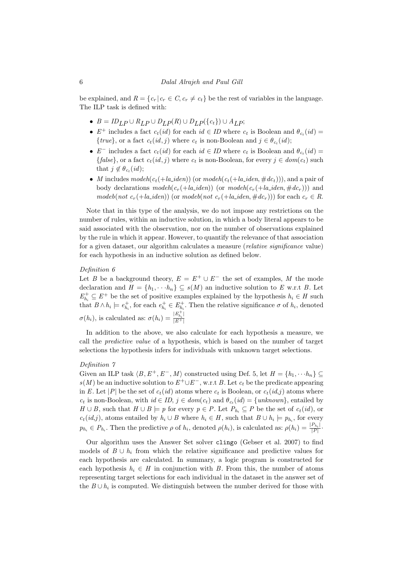be explained, and  $R = \{c_r | c_r \in C, c_r \neq c_t\}$  be the rest of variables in the language. The ILP task is defined with:

- $B = ID_{LP} \cup R_{LP} \cup D_{LP}(R) \cup D_{LP}(\lbrace c_t \rbrace) \cup A_{LP};$
- $E^+$  includes a fact  $c_t(id)$  for each  $id \in ID$  where  $c_t$  is Boolean and  $\theta_{c_t}(id)$  ${true}$ , or a fact  $c_t(id, j)$  where  $c_t$  is non-Boolean and  $j \in \theta_{c_t}(id)$ ;
- $E^-$  includes a fact  $c_t(id)$  for each  $id \in ID$  where  $c_t$  is Boolean and  $\theta_{c_t}(id)$  ${\text{false}}$ , or a fact  $c_t(id, j)$  where  $c_t$  is non-Boolean, for every  $j \in dom(c_t)$  such that  $j \notin \theta_{c_t}(id);$
- M includes modeh $(c_t(+l_a$  iden)) (or modeh $(c_t(+l_a$  iden,  $\#dc_t))$ ), and a pair of body declarations modeh( $c_r$ (+la\_iden)) (or modeh( $c_r$ (+la\_iden, #dc<sub>r</sub>))) and modeb(not  $c_r$ (+la\_iden)) (or modeb(not  $c_r$ (+la\_iden, #dc<sub>r</sub>))) for each  $c_r \in R$ .

Note that in this type of the analysis, we do not impose any restrictions on the number of rules, within an inductive solution, in which a body literal appears to be said associated with the observation, nor on the number of observations explained by the rule in which it appear. However, to quantify the relevance of that association for a given dataset, our algorithm calculates a measure (relative significance value) for each hypothesis in an inductive solution as defined below.

## Definition 6

Let B be a background theory,  $E = E^+ \cup E^-$  the set of examples, M the mode declaration and  $H = \{h_1, \dots h_n\} \subseteq s(M)$  an inductive solution to E w.r.t B. Let  $E_{h_i}^+ \subseteq E^+$  be the set of positive examples explained by the hypothesis  $h_i \in H$  such that  $B \wedge h_i \models e_{h_i}^+$ , for each  $e_{h_i}^+ \in E_{h_i}^+$ . Then the relative significance  $\sigma$  of  $h_i$ , denoted  $\sigma(h_i)$ , is calculated as:  $\sigma(h_i) = \frac{|E_{h_i}^+|}{|E_+^+|}$  $|E+|$ 

In addition to the above, we also calculate for each hypothesis a measure, we call the predictive value of a hypothesis, which is based on the number of target selections the hypothesis infers for individuals with unknown target selections.

## Definition 7

Given an ILP task  $\langle B, E^+, E^-, M \rangle$  constructed using Def. 5, let  $H = \{h_1, \dots, h_n\} \subseteq$  $s(M)$  be an inductive solution to  $E^+\cup E^-,$  w.r.t B. Let  $c_t$  be the predicate appearing in E. Let |P| be the set of  $c_t(id)$  atoms where  $c_t$  is Boolean, or  $c_t(id,j)$  atoms where  $c_t$  is non-Boolean, with  $id \in ID$ ,  $j \in dom(c_t)$  and  $\theta_{c_t}(id) = \{unknown\}$ , entailed by  $H \cup B$ , such that  $H \cup B \models p$  for every  $p \in P$ . Let  $P_{h_i} \subseteq P$  be the set of  $c_t(id)$ , or  $c_t(id,j)$ , atoms entailed by  $h_i \cup B$  where  $h_i \in H$ , such that  $B \cup h_i \models p_{h_i}$ , for every  $p_{h_i} \in P_{h_i}$ . Then the predictive  $\rho$  of  $h_i$ , denoted  $\rho(h_i)$ , is calculated as:  $\rho(h_i) = \frac{|P_{h_i}|}{|P|}$  $\frac{|r_{h_i}|}{|P|}$ .

Our algorithm uses the Answer Set solver clingo (Gebser et al. 2007) to find models of  $B \cup h_i$  from which the relative significance and predictive values for each hypothesis are calculated. In summary, a logic program is constructed for each hypothesis  $h_i \in H$  in conjunction with B. From this, the number of atoms representing target selections for each individual in the dataset in the answer set of the  $B \cup h_i$  is computed. We distinguish between the number derived for those with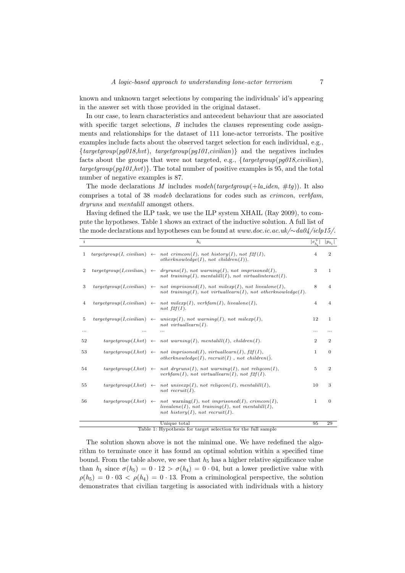known and unknown target selections by comparing the individuals' id's appearing in the answer set with those provided in the original dataset.

In our case, to learn characteristics and antecedent behaviour that are associated with specific target selections,  $B$  includes the clauses representing code assignments and relationships for the dataset of 111 lone-actor terrorists. The positive examples include facts about the observed target selection for each individual, e.g.,  ${targetgroup(pg018,hvt), targetgroup(pg101,civilian)}$  and the negatives includes facts about the groups that were not targeted, e.g.,  $\{targetgroup(pg018, civilian),\}$  $targetgroup(pg101,hvt)$ . The total number of positive examples is 95, and the total number of negative examples is 87.

The mode declarations M includes model (targetgroup( $+la\_iden, \#tq$ )). It also comprises a total of 38 modeb declarations for codes such as crimcon, verbfam, dryruns and mentalill amongst others.

Having defined the ILP task, we use the ILP system XHAIL (Ray 2009), to compute the hypotheses. Table 1 shows an extract of the inductive solution. A full list of the mode declarations and hypotheses can be found at www.doc.ic.ac.uk/∼da04/iclp15/.

| $\dot{i}$      |  | $h_i$                                                                                                                                                                            | $ e_{h}^{\pm} $ | $ p_{h_i} $    |
|----------------|--|----------------------------------------------------------------------------------------------------------------------------------------------------------------------------------|-----------------|----------------|
| $\mathbf{1}$   |  | $targetgroup(I, cvilian) \leftarrow not crimcon(I), not history(I), not f2f(I),$<br>$other knowledge (I), not children (I)).$                                                    | 4               | $\overline{2}$ |
| $\overline{2}$ |  | $targetgroup(I, civilian) \leftarrow dryruns(I), not warning(I), not imprisoned(I),$<br>not training(I), mentalill(I), not virtualinteract(I).                                   | 3               | 1              |
| 3              |  | $targetgroup(I, civilian) \leftarrow not imprisoned(I), not milexp(I), not livealone(I),$<br>not training(I), not virtualled rn(I), not other knowledge(I).                      | 8               | $\overline{4}$ |
| 4              |  | $targetgroup(I, civilian) \leftarrow not$ milexp(I), verbfam(I), livealone(I),<br>not $f2f(I)$ .                                                                                 | $\overline{4}$  | $\overline{4}$ |
| 5              |  | $targetgroup(I, civilian) \leftarrow uniexp(I), not warning(I), not mileage(I),$<br>not virtuallearn $(I)$ .                                                                     | 12              | 1              |
|                |  |                                                                                                                                                                                  | $\cdots$        |                |
| 52             |  | $targetgroup(I, hvt) \leftarrow not warning(I), mentalill(I), children(I).$                                                                                                      | $\overline{2}$  | $\overline{2}$ |
| 53             |  | $targetgroup(I, hvt) \leftarrow not improved(I), virtuallearn(I), f2f(I),$<br>$otherknowledge(I),\,\,(I),\,not\,children().$                                                     | 1               | $\Omega$       |
| 54             |  | $targetgroup(I, hvt) \leftarrow not dryruns(I), not warning(I), not religion(I),$<br>$verbfam(I)$ , not virtuallearn $(I)$ , not $f2f(I)$ .                                      | 5               | $\overline{2}$ |
| 55             |  | $targetgroup(I, hvt) \leftarrow not$ univerp(I), not religion(I), mentalill(I),<br>not recruit(I).                                                                               | 10              | 3              |
| 56             |  | $targetgroup(I, hvt) \leftarrow not$ warning(I), not imprisoned(I), crimcon(I),<br>$livealone(I), not training(I), not mentalill(I),$<br>not history $(I)$ , not recruit $(I)$ . | 1               | $\overline{0}$ |
|                |  | Unique total                                                                                                                                                                     | 95              | 29             |

Table 1: Hypothesis for target selection for the full sample

The solution shown above is not the minimal one. We have redefined the algorithm to terminate once it has found an optimal solution within a specified time bound. From the table above, we see that  $h_5$  has a higher relative significance value than  $h_1$  since  $\sigma(h_5) = 0 \cdot 12 > \sigma(h_4) = 0 \cdot 04$ , but a lower predictive value with  $\rho(h_5) = 0.03 < \rho(h_4) = 0.13$ . From a criminological perspective, the solution demonstrates that civilian targeting is associated with individuals with a history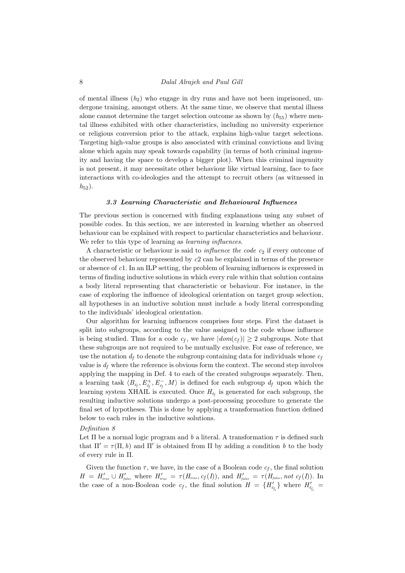of mental illness  $(h_2)$  who engage in dry runs and have not been imprisoned, undergone training, amongst others. At the same time, we observe that mental illness alone cannot determine the target selection outcome as shown by  $(h_{55})$  where mental illness exhibited with other characteristics, including no university experience or religious conversion prior to the attack, explains high-value target selections. Targeting high-value groups is also associated with criminal convictions and living alone which again may speak towards capability (in terms of both criminal ingenuity and having the space to develop a bigger plot). When this criminal ingenuity is not present, it may necessitate other behaviour like virtual learning, face to face interactions with co-ideologies and the attempt to recruit others (as witnessed in  $h_{52}$ ).

#### 3.3 Learning Characteristic and Behavioural Influences

The previous section is concerned with finding explanations using any subset of possible codes. In this section, we are interested in learning whether an observed behaviour can be explained with respect to particular characteristics and behaviour. We refer to this type of learning as *learning influences*.

A characteristic or behaviour is said to *influence the code*  $c_2$  if every outcome of the observed behaviour represented by  $c2$  can be explained in terms of the presence or absence of c1. In an ILP setting, the problem of learning influences is expressed in terms of finding inductive solutions in which every rule within that solution contains a body literal representing that characteristic or behaviour. For instance, in the case of exploring the influence of ideological orientation on target group selection, all hypotheses in an inductive solution must include a body literal corresponding to the individuals' ideological orientation.

Our algorithm for learning influences comprises four steps. First the dataset is split into subgroups, according to the value assigned to the code whose influence is being studied. Thus for a code  $c_f$ , we have  $|dom(c_f)| \geq 2$  subgroups. Note that these subgroups are not required to be mutually exclusive. For ease of reference, we use the notation  $d_f$  to denote the subgroup containing data for individuals whose  $c_f$ value is  $d_f$  where the reference is obvious form the context. The second step involves applying the mapping in Def. 4 to each of the created subgroups separately. Then, a learning task  $\langle B_{d_f}, E_{d_f}^+, E_{d_f}^-, M \rangle$  is defined for each subgroup  $d_f$  upon which the learning system XHAIL is executed. Once  $H_{d_f}$  is generated for each subgroup, the resulting inductive solutions undergo a post-processing procedure to generate the final set of hypotheses. This is done by applying a transformation function defined below to each rules in the inductive solutions.

#### Definition 8

Let  $\Pi$  be a normal logic program and b a literal. A transformation  $\tau$  is defined such that  $\Pi' = \tau(\Pi, b)$  and  $\Pi'$  is obtained from  $\Pi$  by adding a condition b to the body of every rule in Π.

Given the function  $\tau$ , we have, in the case of a Boolean code  $c_f$ , the final solution  $H = H'_{true} \cup H'_{false}$  where  $H'_{true} = \tau(H_{true}, c_f(I)),$  and  $H'_{false} = \tau(H_{false}, not c_f(I)).$  In the case of a non-Boolean code  $c_f$ , the final solution  $H = \{H'_{d_{f_i}}\}$  where  $H'_{d_{f_i}} =$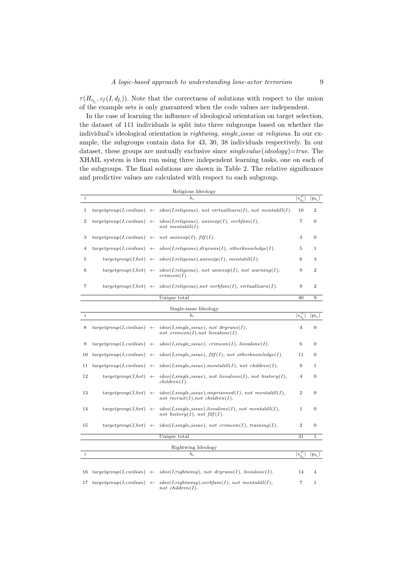$\tau(H_{d_{f_i}}, c_f(I, d_{f_i}))$ . Note that the correctness of solutions with respect to the union of the example sets is only guaranteed when the code values are independent.

In the case of learning the influence of ideological orientation on target selection, the dataset of 111 individuals is split into three subgroups based on whether the individual's ideological orientation is *rightwing, single\_issue* or *religious*. In our example, the subgroups contain data for 43, 30, 38 individuals respectively. In our dataset, these groups are mutually exclusive since  $single value(ideology)=true$ . The XHAIL system is then run using three independent learning tasks, one on each of the subgroups. The final solutions are shown in Table 2. The relative significance and predictive values are calculated with respect to each subgroup.

| Religious Ideology |                                       |              |                                                                                                  |                  |                  |
|--------------------|---------------------------------------|--------------|--------------------------------------------------------------------------------------------------|------------------|------------------|
| $\dot{\imath}$     |                                       |              | $h_i$                                                                                            | $e_{h_i}^+$      | $ p_{h_i} $      |
| 1                  |                                       |              | $targetgroup(I, civilian) \leftarrow ideo(I, religious), not virtuallearn(I), not mentalill(I).$ | 10               | $\overline{2}$   |
| $\boldsymbol{2}$   | targetgroup(I, civilian)              | $\leftarrow$ | $ideo(I, religious),$ univerp $(I),$ verbfam $(I),$<br>not mentalill $(I)$ .                     | 7                | 0                |
| 3                  | targetgroup(I, civilian)              |              | $\leftarrow$ not univerp(I), f2f(I).                                                             | 3                | $\overline{0}$   |
| 4                  | $targetgroup(I, civilian) \leftarrow$ |              | $ideo(I, religious), dry runs(I), other knowledge(I).$                                           | 5                | 1                |
| 5                  | targetgroup(I, hvt)                   |              | $\leftarrow$ ideo(I, religious), univerp(I), mentalill(I).                                       | 6                | 3                |
| 6                  | targetgroup(I, hvt)                   | $\leftarrow$ | $ideo(I, religious), not$ univerp $(I), not$ warning $(I),$<br>crimcon(I).                       | 9                | $\overline{2}$   |
| 7                  |                                       |              | $targetgroup(I, hvt) \leftarrow ideo(I, religious), not \; verbfam(I), virtuallearn(I).$         | 9                | $\overline{2}$   |
|                    |                                       |              | Unique total                                                                                     | 40               | 9                |
|                    |                                       |              | Single-issue Ideology                                                                            |                  |                  |
| $\dot{\imath}$     |                                       |              | $h_i$                                                                                            | $ e_{h}^{\pm} $  | $ p_{h_i} $      |
| 8                  | $targetgroup(I, civilian) \leftarrow$ |              | $ideo(I, single\_issue)$ , not dryruns(I),<br>not crimcon(I), not livealone(I).                  | $\overline{4}$   | $\boldsymbol{0}$ |
| 9                  |                                       |              | $targetgroup(I, civilian) \leftarrow ideo(I, single\_issue), crimcon(I), livealone(I).$          | 6                | $\overline{0}$   |
| 10                 |                                       |              | $targetgroup(I,cvilian) \leftarrow ideo(I,single\_issue), f2f(I), not other knowledge(I).$       | 11               | $\overline{0}$   |
| 11                 |                                       |              | $targetgroup(I,cvilian) \leftarrow ideo(I,single\_issue),mentalill(I), not children(I).$         | 9                | $\mathbf{1}$     |
| 12                 | targetgroup(I, hvt)                   | $\leftarrow$ | $ideo(I, single\_issue)$ , not livealone(I), not history(I),<br>children(I).                     | $\overline{4}$   | $\mathbf{0}$     |
| 13                 | targetgroup(I, hvt)                   | $\leftarrow$ | $ideo(I, single\_issue),imprisoned(I), not mentalill(I),$<br>not recruit(I), not children(I).    | $\overline{2}$   | $\overline{0}$   |
| 14                 | targetgroup(I, hvt)                   | $\leftarrow$ | $ideo(I, single\_issue)$ , livealone(I), not mentalill(I),<br>not history $(I)$ , not $f2f(I)$ . | $\mathbf{1}$     | $\overline{0}$   |
| 15                 |                                       |              | $targetgroup(I, hvt) \leftarrow ideo(I, single\_issue), not crimcon(I), training(I).$            | $\boldsymbol{2}$ | $\overline{0}$   |
|                    |                                       |              | Unique total                                                                                     | 31               | 1                |
|                    |                                       |              | Rightwing Ideology                                                                               |                  |                  |
| $\dot{\imath}$     |                                       |              | $h_i$                                                                                            | $ e_{h_i}^+ $    | $ p_{h_i} $      |
|                    |                                       |              |                                                                                                  |                  |                  |
| 16                 |                                       |              | $targetgroup(I, civilian) \leftarrow ideo(I, rightwing), not dryruns(I), livealone(I).$          | 14               | 4                |
| 17                 | targetgroup(I, civilian)              | $\leftarrow$ | $ideo(I, rightwing), verbfam(I), not mentalill(I),$<br>not children $(I)$ .                      | 7                | $\mathbf{1}$     |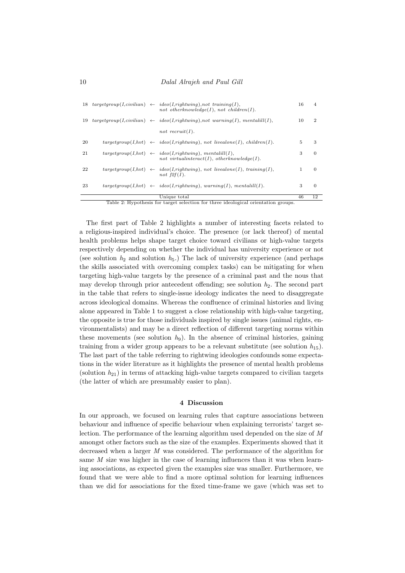|    |  | 18 $targetgroup(I, civilian) \leftarrow idea(I, rightwing), not training(I),$<br>not otherknowledge $(I)$ , not children $(I)$ . | 16 | 4              |
|----|--|----------------------------------------------------------------------------------------------------------------------------------|----|----------------|
| 19 |  | $targetgroup(I, civilian) \leftarrow idea(I, rightwing), not warning(I), mentalill(I),$                                          | 10 | $\overline{2}$ |
|    |  | not recruit(I).                                                                                                                  |    |                |
| 20 |  | $targetgroup(I, hvt) \leftarrow idea(I, rightwing), not\; livealone(I),\; children(I).$                                          | 5  | 3              |
| 21 |  | $targetgroup(I, hvt) \leftarrow ideo(I, rightwing), mentalill(I),$<br>not virtualinteract(I), otherknowledge(I).                 | 3  | $\theta$       |
| 22 |  | $targetgroup(I, hvt) \leftarrow ideo(I, rightwing), not\; livealone(I),\; training(I),$<br>not $f2f(I)$ .                        | 1  | $\overline{0}$ |
| 23 |  | $targetgroup(I, hvt) \leftarrow ideo(I, rightwing), warning(I), mentalill(I).$                                                   | 3  | $\theta$       |
|    |  | Unique total                                                                                                                     | 46 | 12             |

Table 2: Hypothesis for target selection for three ideological orientation groups.

The first part of Table 2 highlights a number of interesting facets related to a religious-inspired individual's choice. The presence (or lack thereof) of mental health problems helps shape target choice toward civilians or high-value targets respectively depending on whether the individual has university experience or not (see solution  $h_2$  and solution  $h_5$ .) The lack of university experience (and perhaps the skills associated with overcoming complex tasks) can be mitigating for when targeting high-value targets by the presence of a criminal past and the nous that may develop through prior antecedent offending; see solution  $h_2$ . The second part in the table that refers to single-issue ideology indicates the need to disaggregate across ideological domains. Whereas the confluence of criminal histories and living alone appeared in Table 1 to suggest a close relationship with high-value targeting, the opposite is true for those individuals inspired by single issues (animal rights, environmentalists) and may be a direct reflection of different targeting norms within these movements (see solution  $h_9$ ). In the absence of criminal histories, gaining training from a wider group appears to be a relevant substitute (see solution  $h_{15}$ ). The last part of the table referring to rightwing ideologies confounds some expectations in the wider literature as it highlights the presence of mental health problems (solution  $h_{21}$ ) in terms of attacking high-value targets compared to civilian targets (the latter of which are presumably easier to plan).

#### 4 Discussion

In our approach, we focused on learning rules that capture associations between behaviour and influence of specific behaviour when explaining terrorists' target selection. The performance of the learning algorithm used depended on the size of M amongst other factors such as the size of the examples. Experiments showed that it decreased when a larger M was considered. The performance of the algorithm for same M size was higher in the case of learning influences than it was when learning associations, as expected given the examples size was smaller. Furthermore, we found that we were able to find a more optimal solution for learning influences than we did for associations for the fixed time-frame we gave (which was set to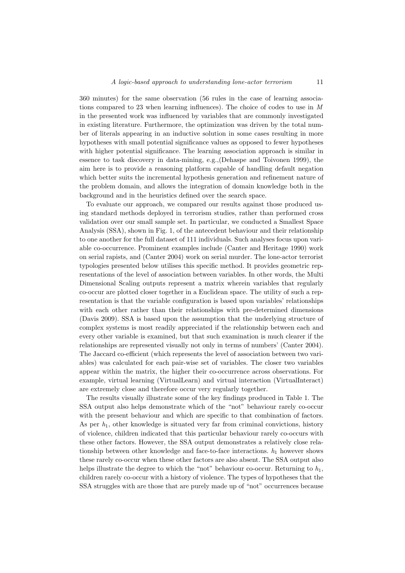360 minutes) for the same observation (56 rules in the case of learning associations compared to 23 when learning influences). The choice of codes to use in M in the presented work was influenced by variables that are commonly investigated in existing literature. Furthermore, the optimization was driven by the total number of literals appearing in an inductive solution in some cases resulting in more hypotheses with small potential significance values as opposed to fewer hypotheses with higher potential significance. The learning association approach is similar in essence to task discovery in data-mining, e.g.,(Dehaspe and Toivonen 1999), the aim here is to provide a reasoning platform capable of handling default negation which better suits the incremental hypothesis generation and refinement nature of the problem domain, and allows the integration of domain knowledge both in the background and in the heuristics defined over the search space.

To evaluate our approach, we compared our results against those produced using standard methods deployed in terrorism studies, rather than performed cross validation over our small sample set. In particular, we conducted a Smallest Space Analysis (SSA), shown in Fig. 1, of the antecedent behaviour and their relationship to one another for the full dataset of 111 individuals. Such analyses focus upon variable co-occurrence. Prominent examples include (Canter and Heritage 1990) work on serial rapists, and (Canter 2004) work on serial murder. The lone-actor terrorist typologies presented below utilises this specific method. It provides geometric representations of the level of association between variables. In other words, the Multi Dimensional Scaling outputs represent a matrix wherein variables that regularly co-occur are plotted closer together in a Euclidean space. The utility of such a representation is that the variable configuration is based upon variables' relationships with each other rather than their relationships with pre-determined dimensions (Davis 2009). SSA is based upon the assumption that the underlying structure of complex systems is most readily appreciated if the relationship between each and every other variable is examined, but that such examination is much clearer if the relationships are represented visually not only in terms of numbers' (Canter 2004). The Jaccard co-efficient (which represents the level of association between two variables) was calculated for each pair-wise set of variables. The closer two variables appear within the matrix, the higher their co-occurrence across observations. For example, virtual learning (VirtualLearn) and virtual interaction (VirtualInteract) are extremely close and therefore occur very regularly together.

The results visually illustrate some of the key findings produced in Table 1. The SSA output also helps demonstrate which of the "not" behaviour rarely co-occur with the present behaviour and which are specific to that combination of factors. As per  $h_1$ , other knowledge is situated very far from criminal convictions, history of violence, children indicated that this particular behaviour rarely co-occurs with these other factors. However, the SSA output demonstrates a relatively close relationship between other knowledge and face-to-face interactions.  $h_1$  however shows these rarely co-occur when these other factors are also absent. The SSA output also helps illustrate the degree to which the "not" behaviour co-occur. Returning to  $h_1$ , children rarely co-occur with a history of violence. The types of hypotheses that the SSA struggles with are those that are purely made up of "not" occurrences because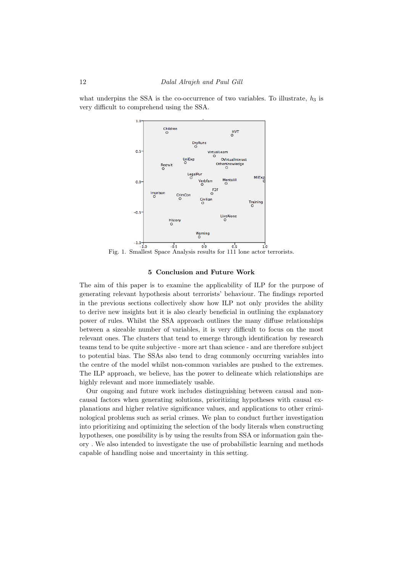what underpins the SSA is the co-occurrence of two variables. To illustrate,  $h_3$  is very difficult to comprehend using the SSA.



Fig. 1. Smallest Space Analysis results for 111 lone actor terrorists.

## 5 Conclusion and Future Work

The aim of this paper is to examine the applicability of ILP for the purpose of generating relevant hypothesis about terrorists' behaviour. The findings reported in the previous sections collectively show how ILP not only provides the ability to derive new insights but it is also clearly beneficial in outlining the explanatory power of rules. Whilst the SSA approach outlines the many diffuse relationships between a sizeable number of variables, it is very difficult to focus on the most relevant ones. The clusters that tend to emerge through identification by research teams tend to be quite subjective - more art than science - and are therefore subject to potential bias. The SSAs also tend to drag commonly occurring variables into the centre of the model whilst non-common variables are pushed to the extremes. The ILP approach, we believe, has the power to delineate which relationships are highly relevant and more immediately usable.

Our ongoing and future work includes distinguishing between causal and noncausal factors when generating solutions, prioritizing hypotheses with causal explanations and higher relative significance values, and applications to other criminological problems such as serial crimes. We plan to conduct further investigation into prioritizing and optimizing the selection of the body literals when constructing hypotheses, one possibility is by using the results from SSA or information gain theory . We also intended to investigate the use of probabilistic learning and methods capable of handling noise and uncertainty in this setting.